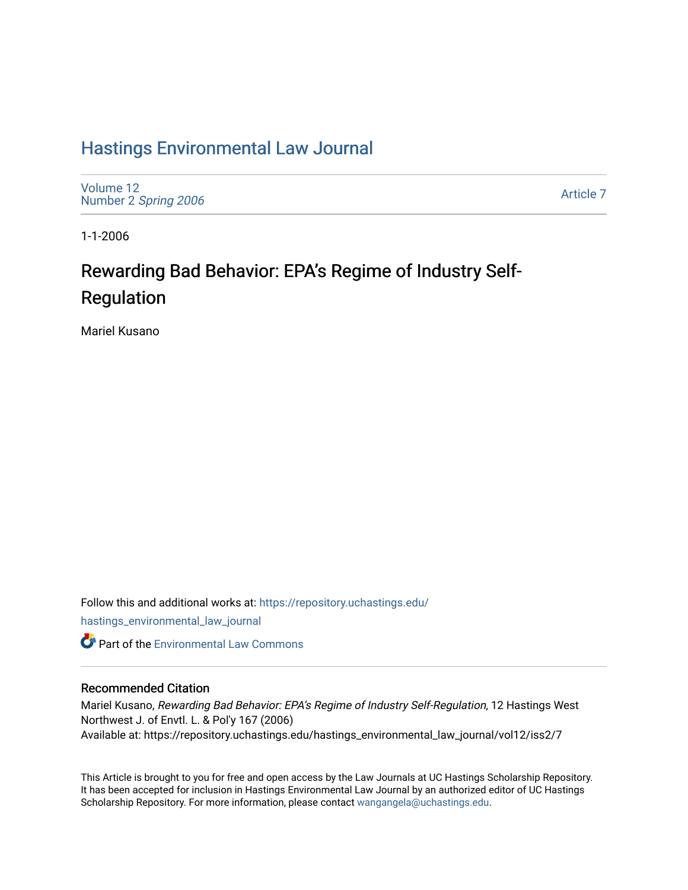# [Hastings Environmental Law Journal](https://repository.uchastings.edu/hastings_environmental_law_journal)

[Volume 12](https://repository.uchastings.edu/hastings_environmental_law_journal/vol12) Number 2 [Spring 2006](https://repository.uchastings.edu/hastings_environmental_law_journal/vol12/iss2) 

[Article 7](https://repository.uchastings.edu/hastings_environmental_law_journal/vol12/iss2/7) 

1-1-2006

# Rewarding Bad Behavior: EPA's Regime of Industry Self-Regulation

Mariel Kusano

Follow this and additional works at: [https://repository.uchastings.edu/](https://repository.uchastings.edu/hastings_environmental_law_journal?utm_source=repository.uchastings.edu%2Fhastings_environmental_law_journal%2Fvol12%2Fiss2%2F7&utm_medium=PDF&utm_campaign=PDFCoverPages) [hastings\\_environmental\\_law\\_journal](https://repository.uchastings.edu/hastings_environmental_law_journal?utm_source=repository.uchastings.edu%2Fhastings_environmental_law_journal%2Fvol12%2Fiss2%2F7&utm_medium=PDF&utm_campaign=PDFCoverPages) 

**Part of the [Environmental Law Commons](http://network.bepress.com/hgg/discipline/599?utm_source=repository.uchastings.edu%2Fhastings_environmental_law_journal%2Fvol12%2Fiss2%2F7&utm_medium=PDF&utm_campaign=PDFCoverPages)** 

#### Recommended Citation

Mariel Kusano, Rewarding Bad Behavior: EPA's Regime of Industry Self-Regulation, 12 Hastings West Northwest J. of Envtl. L. & Pol'y 167 (2006) Available at: https://repository.uchastings.edu/hastings\_environmental\_law\_journal/vol12/iss2/7

This Article is brought to you for free and open access by the Law Journals at UC Hastings Scholarship Repository. It has been accepted for inclusion in Hastings Environmental Law Journal by an authorized editor of UC Hastings Scholarship Repository. For more information, please contact [wangangela@uchastings.edu.](mailto:wangangela@uchastings.edu)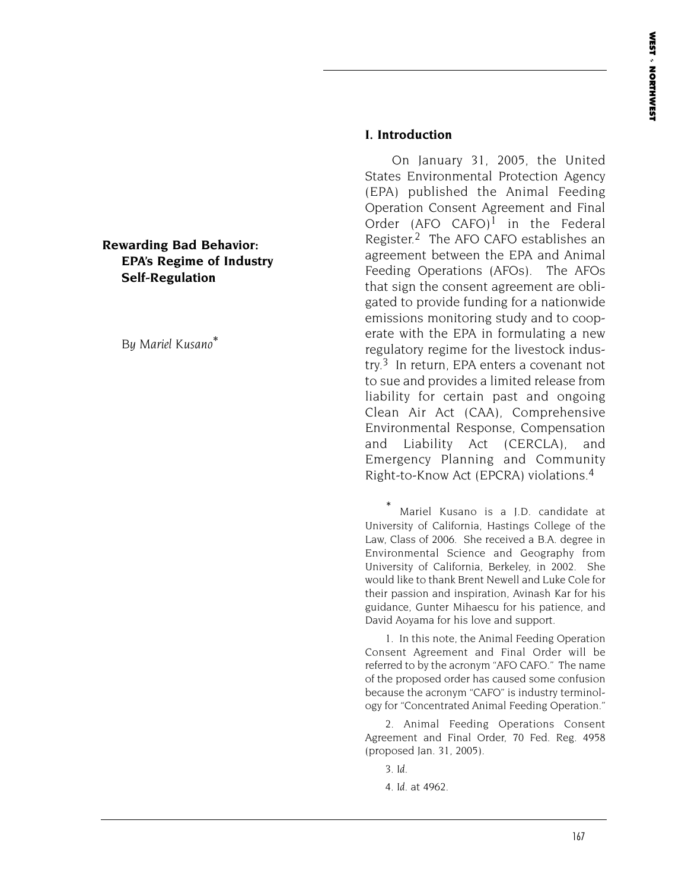#### **Rewarding Bad Behavior: EPA's Regime of Industry Self-Regulation**

*By Mariel Kusano*\*

#### **I. Introduction**

On January 31, 2005, the United States Environmental Protection Agency (EPA) published the Animal Feeding Operation Consent Agreement and Final Order  $(AFO CAFO)^1$  in the Federal Register.2 The AFO CAFO establishes an agreement between the EPA and Animal Feeding Operations (AFOs). The AFOs that sign the consent agreement are obligated to provide funding for a nationwide emissions monitoring study and to cooperate with the EPA in formulating a new regulatory regime for the livestock industry.<sup>3</sup> In return, EPA enters a covenant not to sue and provides a limited release from liability for certain past and ongoing Clean Air Act (CAA), Comprehensive Environmental Response, Compensation and Liability Act (CERCLA), and Emergency Planning and Community Right-to-Know Act (EPCRA) violations.4

Mariel Kusano is a J.D. candidate at University of California, Hastings College of the Law, Class of 2006. She received a B.A. degree in Environmental Science and Geography from University of California, Berkeley, in 2002. She would like to thank Brent Newell and Luke Cole for their passion and inspiration, Avinash Kar for his guidance, Gunter Mihaescu for his patience, and David Aoyama for his love and support.

1. In this note, the Animal Feeding Operation Consent Agreement and Final Order will be referred to by the acronym "AFO CAFO." The name of the proposed order has caused some confusion because the acronym "CAFO" is industry terminology for "Concentrated Animal Feeding Operation."

2. Animal Feeding Operations Consent Agreement and Final Order, 70 Fed. Reg. 4958 (proposed Jan. 31, 2005).

3. *Id. 4. Id.* at 4962.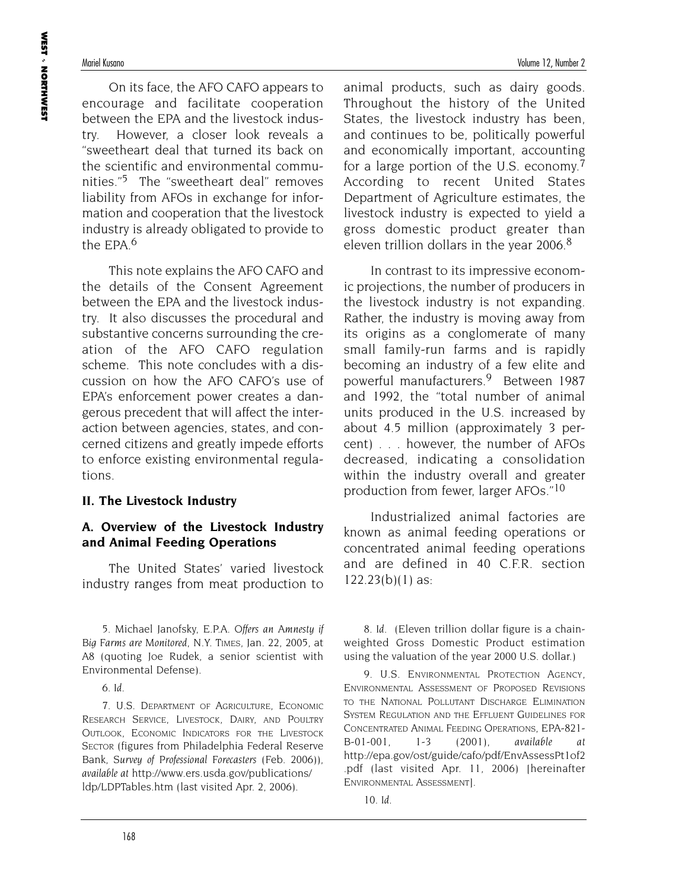On its face, the AFO CAFO appears to encourage and facilitate cooperation between the EPA and the livestock industry. However, a closer look reveals a "sweetheart deal that turned its back on the scientific and environmental communities."5 The "sweetheart deal" removes liability from AFOs in exchange for information and cooperation that the livestock industry is already obligated to provide to the EPA $6$ 

This note explains the AFO CAFO and the details of the Consent Agreement between the EPA and the livestock industry. It also discusses the procedural and substantive concerns surrounding the creation of the AFO CAFO regulation scheme. This note concludes with a discussion on how the AFO CAFO's use of EPA's enforcement power creates a dangerous precedent that will affect the interaction between agencies, states, and concerned citizens and greatly impede efforts to enforce existing environmental regulations.

#### **II. The Livestock Industry**

## **A. Overview of the Livestock Industry and Animal Feeding Operations**

The United States' varied livestock industry ranges from meat production to

5. Michael Janofsky, *E.P.A. Offers an Amnesty if Big Farms are Monitored*, N.Y. TIMES, Jan. 22, 2005, at A8 (quoting Joe Rudek, a senior scientist with Environmental Defense).

*6. Id*.

7. U.S. DEPARTMENT OF AGRICULTURE, ECONOMIC RESEARCH SERVICE, LIVESTOCK, DAIRY, AND POULTRY OUTLOOK, ECONOMIC INDICATORS FOR THE LIVESTOCK SECTOR (figures from Philadelphia Federal Reserve Bank, *Survey of Professional Forecasters* (Feb. 2006)), *available at* http://www.ers.usda.gov/publications/ ldp/LDPTables.htm (last visited Apr. 2, 2006).

animal products, such as dairy goods. Throughout the history of the United States, the livestock industry has been, and continues to be, politically powerful and economically important, accounting for a large portion of the U.S. economy.<sup>7</sup> According to recent United States Department of Agriculture estimates, the livestock industry is expected to yield a gross domestic product greater than eleven trillion dollars in the year 2006.<sup>8</sup>

In contrast to its impressive economic projections, the number of producers in the livestock industry is not expanding. Rather, the industry is moving away from its origins as a conglomerate of many small family-run farms and is rapidly becoming an industry of a few elite and powerful manufacturers.9 Between 1987 and 1992, the "total number of animal units produced in the U.S. increased by about 4.5 million (approximately 3 percent) . . . however, the number of AFOs decreased, indicating a consolidation within the industry overall and greater production from fewer, larger AFOs."10

Industrialized animal factories are known as animal feeding operations or concentrated animal feeding operations and are defined in 40 C.F.R. section 122.23(b)(1) as:

8. *Id.* (Eleven trillion dollar figure is a chainweighted Gross Domestic Product estimation using the valuation of the year 2000 U.S. dollar.)

9. U.S. ENVIRONMENTAL PROTECTION AGENCY, ENVIRONMENTAL ASSESSMENT OF PROPOSED REVISIONS TO THE NATIONAL POLLUTANT DISCHARGE ELIMINATION SYSTEM REGULATION AND THE EFFLUENT GUIDELINES FOR CONCENTRATED ANIMAL FEEDING OPERATIONS, EPA-821- B-01-001, 1-3 (2001), *available at* http://epa.gov/ost/guide/cafo/pdf/EnvAssessPt1of2 .pdf (last visited Apr. 11, 2006) [hereinafter ENVIRONMENTAL ASSESSMENT].

10. *Id.*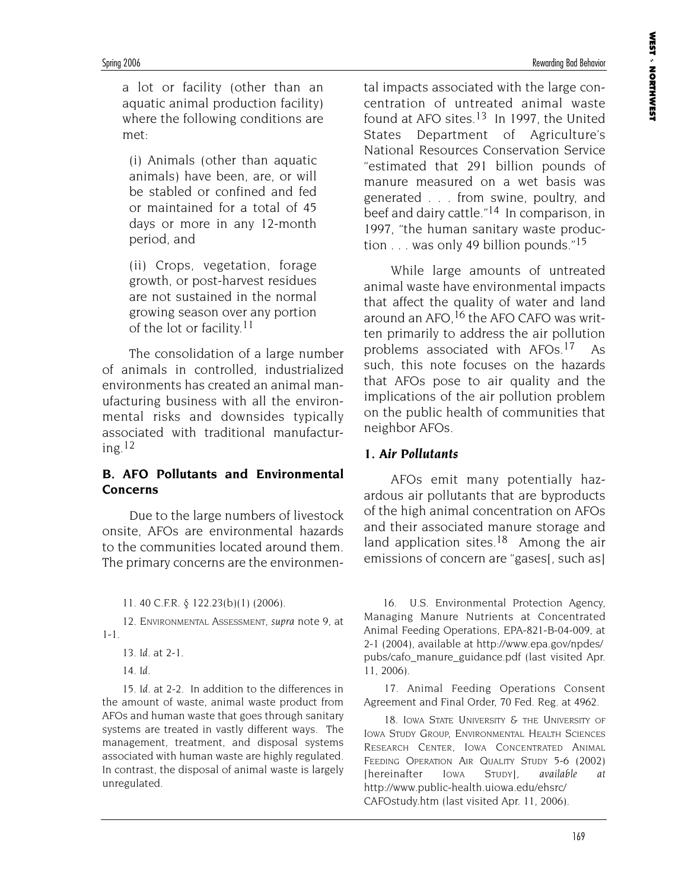Spring 2006 Rewarding Bad Behavior

a lot or facility (other than an aquatic animal production facility) where the following conditions are met:

(i) Animals (other than aquatic animals) have been, are, or will be stabled or confined and fed or maintained for a total of 45 days or more in any 12-month period, and

(ii) Crops, vegetation, forage growth, or post-harvest residues are not sustained in the normal growing season over any portion of the lot or facility.11

The consolidation of a large number of animals in controlled, industrialized environments has created an animal manufacturing business with all the environmental risks and downsides typically associated with traditional manufacturing.12

#### **B. AFO Pollutants and Environmental Concerns**

Due to the large numbers of livestock onsite, AFOs are environmental hazards to the communities located around them. The primary concerns are the environmen-

11. 40 C.F.R. § 122.23(b)(1) (2006).

12. ENVIRONMENTAL ASSESSMENT, *supra* note 9, at 1-1.

13. *Id.* at 2-1.

14. *Id.*

15. *Id.* at 2-2. In addition to the differences in the amount of waste, animal waste product from AFOs and human waste that goes through sanitary systems are treated in vastly different ways. The management, treatment, and disposal systems associated with human waste are highly regulated. In contrast, the disposal of animal waste is largely unregulated.

tal impacts associated with the large concentration of untreated animal waste found at AFO sites.<sup>13</sup> In 1997, the United States Department of Agriculture's National Resources Conservation Service "estimated that 291 billion pounds of manure measured on a wet basis was generated . . . from swine, poultry, and beef and dairy cattle."14 In comparison, in 1997, "the human sanitary waste production . . . was only 49 billion pounds."15

While large amounts of untreated animal waste have environmental impacts that affect the quality of water and land around an AFO, <sup>16</sup> the AFO CAFO was written primarily to address the air pollution problems associated with AFOs.17 As such, this note focuses on the hazards that AFOs pose to air quality and the implications of the air pollution problem on the public health of communities that neighbor AFOs.

# *1. Air Pollutants*

AFOs emit many potentially hazardous air pollutants that are byproducts of the high animal concentration on AFOs and their associated manure storage and land application sites.<sup>18</sup> Among the air emissions of concern are "gases[, such as]

16. U.S. Environmental Protection Agency, Managing Manure Nutrients at Concentrated Animal Feeding Operations, EPA-821-B-04-009, at 2-1 (2004), available at http://www.epa.gov/npdes/ pubs/cafo\_manure\_guidance.pdf (last visited Apr. 11, 2006).

17. Animal Feeding Operations Consent Agreement and Final Order, 70 Fed. Reg. at 4962.

18. IOWA STATE UNIVERSITY & THE UNIVERSITY OF IOWA STUDY GROUP, ENVIRONMENTAL HEALTH SCIENCES RESEARCH CENTER, IOWA CONCENTRATED ANIMAL FEEDING OPERATION AIR QUALITY STUDY 5-6 (2002) [hereinafter IOWA STUDY], *available at* http://www.public-health.uiowa.edu/ehsrc/ CAFOstudy.htm (last visited Apr. 11, 2006).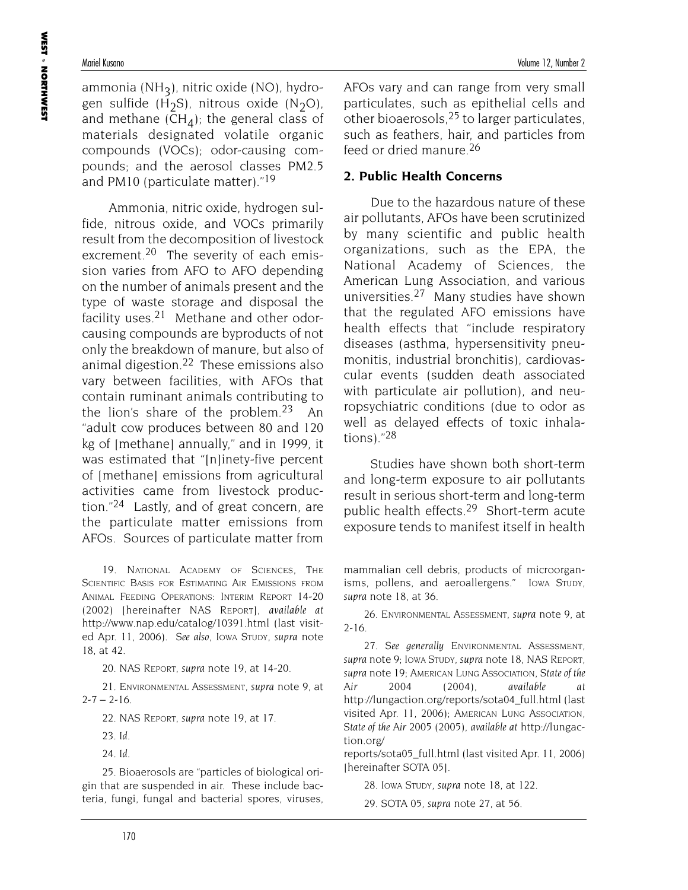ammonia (NH<sub>2</sub>), nitric oxide (NO), hydrogen sulfide (H<sub>2</sub>S), nitrous oxide (N<sub>2</sub>O), and methane ( $CH_4$ ); the general class of materials designated volatile organic compounds (VOCs); odor-causing compounds; and the aerosol classes PM2.5 and PM10 (particulate matter)."<sup>19</sup>

Ammonia, nitric oxide, hydrogen sulfide, nitrous oxide, and VOCs primarily result from the decomposition of livestock excrement.<sup>20</sup> The severity of each emission varies from AFO to AFO depending on the number of animals present and the type of waste storage and disposal the facility uses. $21$  Methane and other odorcausing compounds are byproducts of not only the breakdown of manure, but also of animal digestion.22 These emissions also vary between facilities, with AFOs that contain ruminant animals contributing to the lion's share of the problem.<sup>23</sup> An "adult cow produces between 80 and 120 kg of [methane] annually," and in 1999, it was estimated that "Inlinety-five percent" of [methane] emissions from agricultural activities came from livestock production."24 Lastly, and of great concern, are the particulate matter emissions from AFOs. Sources of particulate matter from

19. NATIONAL ACADEMY OF SCIENCES, THE SCIENTIFIC BASIS FOR ESTIMATING AIR EMISSIONS FROM ANIMAL FEEDING OPERATIONS: INTERIM REPORT 14-20 (2002) [hereinafter NAS REPORT], *available at* http://www.nap.edu/catalog/10391.html (last visited Apr. 11, 2006). *See also*, IOWA STUDY, *supra* note 18, at 42.

20. NAS REPORT, *supra* note 19, at 14-20.

21. ENVIRONMENTAL ASSESSMENT, *supra* note 9, at  $2 - 7 - 2 - 16$ .

22. NAS REPORT, *supra* note 19, at 17.

- 23. *Id.*
- 24. *Id.*

25. Bioaerosols are "particles of biological origin that are suspended in air. These include bacteria, fungi, fungal and bacterial spores, viruses,

AFOs vary and can range from very small particulates, such as epithelial cells and other bioaerosols,  $25$  to larger particulates, such as feathers, hair, and particles from feed or dried manure.26

## **2. Public Health Concerns**

Due to the hazardous nature of these air pollutants, AFOs have been scrutinized by many scientific and public health organizations, such as the EPA, the National Academy of Sciences, the American Lung Association, and various universities.27 Many studies have shown that the regulated AFO emissions have health effects that "include respiratory diseases (asthma, hypersensitivity pneumonitis, industrial bronchitis), cardiovascular events (sudden death associated with particulate air pollution), and neuropsychiatric conditions (due to odor as well as delayed effects of toxic inhalations)."28

Studies have shown both short-term and long-term exposure to air pollutants result in serious short-term and long-term public health effects.<sup>29</sup> Short-term acute exposure tends to manifest itself in health

mammalian cell debris, products of microorganisms, pollens, and aeroallergens." IOWA STUDY, *supra* note 18, at 36.

26. ENVIRONMENTAL ASSESSMENT, *supra* note 9, at 2-16.

27. *See generally* ENVIRONMENTAL ASSESSMENT, *supra* note 9; IOWA STUDY, *supra* note 18, NAS REPORT, *supra* note 19; AMERICAN LUNG ASSOCIATION, *State of the Air 2004* (2004), *available at* http://lungaction.org/reports/sota04\_full.html (last visited Apr. 11, 2006); AMERICAN LUNG ASSOCIATION, *State of the Air 2005* (2005), *available at* http://lungaction.org/

reports/sota05\_full.html (last visited Apr. 11, 2006) [hereinafter SOTA 05].

28. IOWA STUDY, *supra* note 18, at 122.

29. SOTA 05, *supra* note 27, at 56.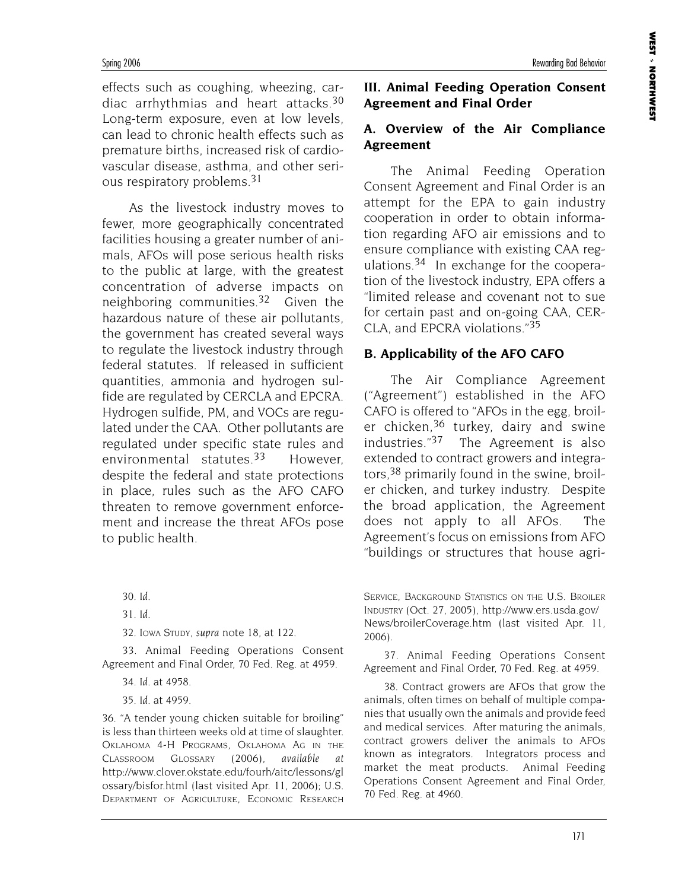effects such as coughing, wheezing, cardiac arrhythmias and heart attacks.30 Long-term exposure, even at low levels, can lead to chronic health effects such as premature births, increased risk of cardiovascular disease, asthma, and other serious respiratory problems.31

As the livestock industry moves to fewer, more geographically concentrated facilities housing a greater number of animals, AFOs will pose serious health risks to the public at large, with the greatest concentration of adverse impacts on neighboring communities.32 Given the hazardous nature of these air pollutants, the government has created several ways to regulate the livestock industry through federal statutes. If released in sufficient quantities, ammonia and hydrogen sulfide are regulated by CERCLA and EPCRA. Hydrogen sulfide, PM, and VOCs are regulated under the CAA. Other pollutants are regulated under specific state rules and environmental statutes.33 However, despite the federal and state protections in place, rules such as the AFO CAFO threaten to remove government enforcement and increase the threat AFOs pose to public health.

30. *Id.*

32. IOWA STUDY, *supra* note 18, at 122.

33. Animal Feeding Operations Consent Agreement and Final Order, 70 Fed. Reg. at 4959.

36. "A tender young chicken suitable for broiling" is less than thirteen weeks old at time of slaughter. OKLAHOMA 4-H PROGRAMS, OKLAHOMA AG IN THE CLASSROOM GLOSSARY (2006), *available at* http://www.clover.okstate.edu/fourh/aitc/lessons/gl ossary/bisfor.html (last visited Apr. 11, 2006); U.S. DEPARTMENT OF AGRICULTURE, ECONOMIC RESEARCH

#### **III. Animal Feeding Operation Consent Agreement and Final Order**

#### **A. Overview of the Air Compliance Agreement**

The Animal Feeding Operation Consent Agreement and Final Order is an attempt for the EPA to gain industry cooperation in order to obtain information regarding AFO air emissions and to ensure compliance with existing CAA regulations.34 In exchange for the cooperation of the livestock industry, EPA offers a "limited release and covenant not to sue for certain past and on-going CAA, CER-CLA, and EPCRA violations."35

#### **B. Applicability of the AFO CAFO**

The Air Compliance Agreement ("Agreement") established in the AFO CAFO is offered to "AFOs in the egg, broiler chicken,<sup>36</sup> turkey, dairy and swine industries."37 The Agreement is also extended to contract growers and integrators,38 primarily found in the swine, broiler chicken, and turkey industry. Despite the broad application, the Agreement does not apply to all AFOs. The Agreement's focus on emissions from AFO "buildings or structures that house agri-

SERVICE, BACKGROUND STATISTICS ON THE U.S. BROILER INDUSTRY (Oct. 27, 2005), http://www.ers.usda.gov/ News/broilerCoverage.htm (last visited Apr. 11, 2006).

37. Animal Feeding Operations Consent Agreement and Final Order, 70 Fed. Reg. at 4959.

38. Contract growers are AFOs that grow the animals, often times on behalf of multiple companies that usually own the animals and provide feed and medical services. After maturing the animals, contract growers deliver the animals to AFOs known as integrators. Integrators process and market the meat products. Animal Feeding Operations Consent Agreement and Final Order, 70 Fed. Reg. at 4960.

<sup>31.</sup> *Id.*

<sup>34.</sup> *Id.* at 4958.

<sup>35.</sup> *Id.* at 4959.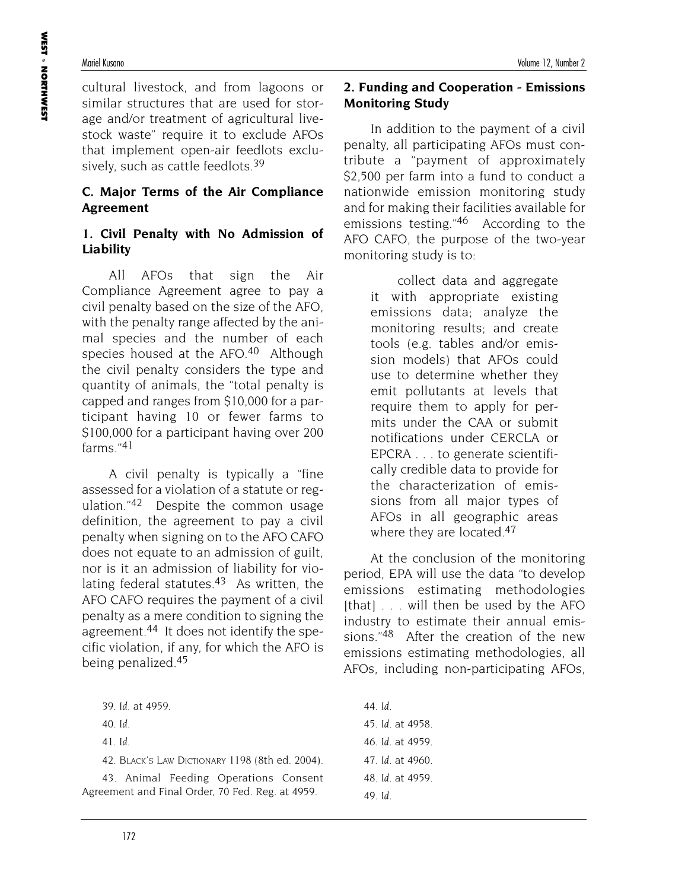cultural livestock, and from lagoons or similar structures that are used for storage and/or treatment of agricultural livestock waste" require it to exclude AFOs that implement open-air feedlots exclusively, such as cattle feedlots.<sup>39</sup>

## **C. Major Terms of the Air Compliance Agreement**

#### **1. Civil Penalty with No Admission of Liability**

All AFOs that sign the Air Compliance Agreement agree to pay a civil penalty based on the size of the AFO, with the penalty range affected by the animal species and the number of each species housed at the AFO.<sup>40</sup> Although the civil penalty considers the type and quantity of animals, the "total penalty is capped and ranges from \$10,000 for a participant having 10 or fewer farms to \$100,000 for a participant having over 200 farms $"^{41}$ 

A civil penalty is typically a "fine assessed for a violation of a statute or regulation." $42$  Despite the common usage definition, the agreement to pay a civil penalty when signing on to the AFO CAFO does not equate to an admission of guilt, nor is it an admission of liability for violating federal statutes. $43$  As written, the AFO CAFO requires the payment of a civil penalty as a mere condition to signing the agreement.44 It does not identify the specific violation, if any, for which the AFO is being penalized.45

41. *Id.*

42. BLACK'S LAW DICTIONARY 1198 (8th ed. 2004).

43. Animal Feeding Operations Consent Agreement and Final Order, 70 Fed. Reg. at 4959.

#### **2. Funding and Cooperation - Emissions Monitoring Study**

In addition to the payment of a civil penalty, all participating AFOs must contribute a "payment of approximately \$2,500 per farm into a fund to conduct a nationwide emission monitoring study and for making their facilities available for emissions testing."46 According to the AFO CAFO, the purpose of the two-year monitoring study is to:

> collect data and aggregate it with appropriate existing emissions data; analyze the monitoring results; and create tools (e.g. tables and/or emission models) that AFOs could use to determine whether they emit pollutants at levels that require them to apply for permits under the CAA or submit notifications under CERCLA or EPCRA . . . to generate scientifically credible data to provide for the characterization of emissions from all major types of AFOs in all geographic areas where they are located.<sup>47</sup>

At the conclusion of the monitoring period, EPA will use the data "to develop emissions estimating methodologies  $[that]$  . . . will then be used by the AFO industry to estimate their annual emissions."48 After the creation of the new emissions estimating methodologies, all AFOs, including non-participating AFOs,

44. *Id.* 45. *Id.* at 4958. 46. *Id.* at 4959. 47. *Id.* at 4960. 48. *Id.* at 4959. 49. *Id.*

<sup>39.</sup> *Id.* at 4959.

<sup>40.</sup> *Id.*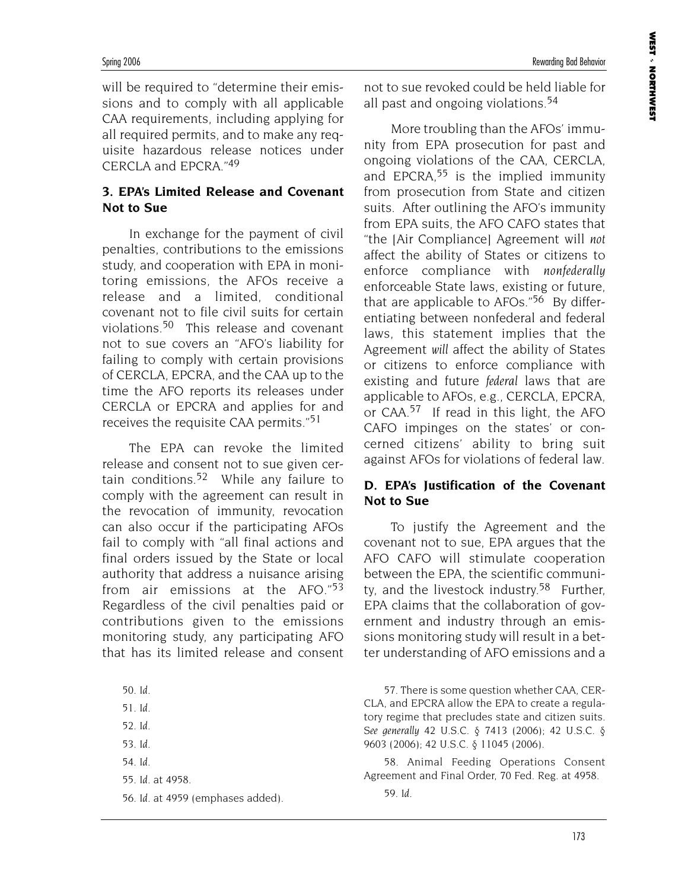will be required to "determine their emissions and to comply with all applicable CAA requirements, including applying for all required permits, and to make any requisite hazardous release notices under CERCLA and EPCRA."49

## **3. EPA's Limited Release and Covenant Not to Sue**

In exchange for the payment of civil penalties, contributions to the emissions study, and cooperation with EPA in monitoring emissions, the AFOs receive a release and a limited, conditional covenant not to file civil suits for certain violations.50 This release and covenant not to sue covers an "AFO's liability for failing to comply with certain provisions of CERCLA, EPCRA, and the CAA up to the time the AFO reports its releases under CERCLA or EPCRA and applies for and receives the requisite CAA permits."51

The EPA can revoke the limited release and consent not to sue given certain conditions.52 While any failure to comply with the agreement can result in the revocation of immunity, revocation can also occur if the participating AFOs fail to comply with "all final actions and final orders issued by the State or local authority that address a nuisance arising from air emissions at the AFO."53 Regardless of the civil penalties paid or contributions given to the emissions monitoring study, any participating AFO that has its limited release and consent

50. *Id.* 51. *Id.* 52. *Id.* 53. *Id.* 54. *Id.* 55. *Id.* at 4958. 56. *Id.* at 4959 (emphases added). not to sue revoked could be held liable for all past and ongoing violations.54

More troubling than the AFOs' immunity from EPA prosecution for past and ongoing violations of the CAA, CERCLA, and EPCRA, $55$  is the implied immunity from prosecution from State and citizen suits. After outlining the AFO's immunity from EPA suits, the AFO CAFO states that "the [Air Compliance] Agreement will *not* affect the ability of States or citizens to enforce compliance with *nonfederally* enforceable State laws, existing or future, that are applicable to AFOs."<sup>56</sup> By differentiating between nonfederal and federal laws, this statement implies that the Agreement *will* affect the ability of States or citizens to enforce compliance with existing and future *federal* laws that are applicable to AFOs, e.g., CERCLA, EPCRA, or CAA.57 If read in this light, the AFO CAFO impinges on the states' or concerned citizens' ability to bring suit against AFOs for violations of federal law.

#### **D. EPA's Justification of the Covenant Not to Sue**

To justify the Agreement and the covenant not to sue, EPA argues that the AFO CAFO will stimulate cooperation between the EPA, the scientific community, and the livestock industry.<sup>58</sup> Further, EPA claims that the collaboration of government and industry through an emissions monitoring study will result in a better understanding of AFO emissions and a

57. There is some question whether CAA, CER-CLA, and EPCRA allow the EPA to create a regulatory regime that precludes state and citizen suits. *See generally* 42 U.S.C. § 7413 (2006); 42 U.S.C. § 9603 (2006); 42 U.S.C. § 11045 (2006).

58. Animal Feeding Operations Consent Agreement and Final Order, 70 Fed. Reg. at 4958.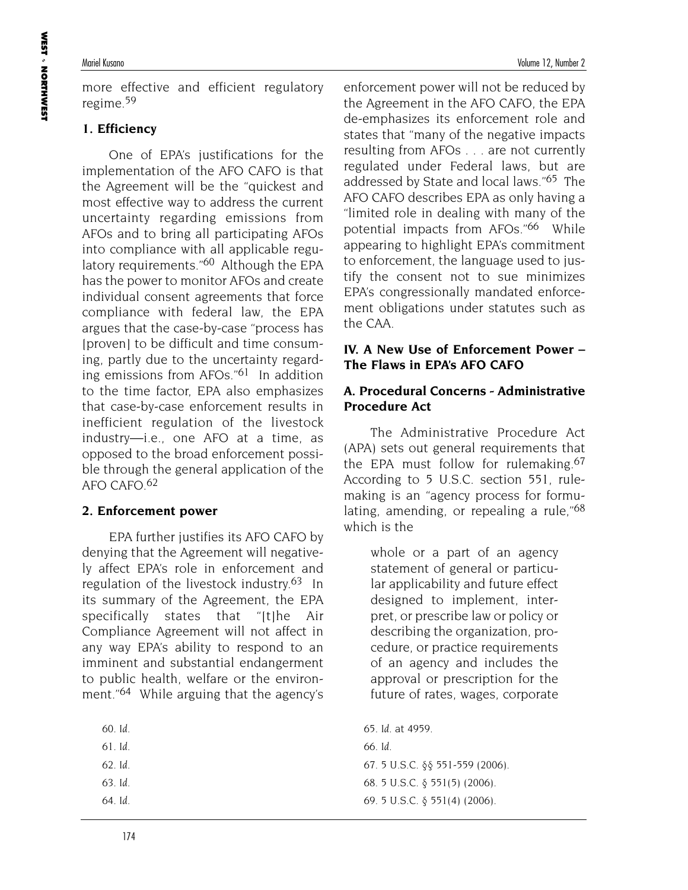more effective and efficient regulatory regime.59

## **1. Efficiency**

One of EPA's justifications for the implementation of the AFO CAFO is that the Agreement will be the "quickest and most effective way to address the current uncertainty regarding emissions from AFOs and to bring all participating AFOs into compliance with all applicable regulatory requirements."<sup>60</sup> Although the EPA has the power to monitor AFOs and create individual consent agreements that force compliance with federal law, the EPA argues that the case-by-case "process has [proven] to be difficult and time consuming, partly due to the uncertainty regarding emissions from AFOs."61 In addition to the time factor, EPA also emphasizes that case-by-case enforcement results in inefficient regulation of the livestock industry—i.e., one AFO at a time, as opposed to the broad enforcement possible through the general application of the AFO CAFO.62

#### **2. Enforcement power**

EPA further justifies its AFO CAFO by denying that the Agreement will negatively affect EPA's role in enforcement and regulation of the livestock industry.<sup>63</sup> In its summary of the Agreement, the EPA specifically states that "[t]he Air Compliance Agreement will not affect in any way EPA's ability to respond to an imminent and substantial endangerment to public health, welfare or the environment."64 While arguing that the agency's

| ٦t | 17 |
|----|----|
|----|----|

- 61. *Id.*
- 62. *Id.*
- 63. *Id.*
- 64. *Id.*

enforcement power will not be reduced by the Agreement in the AFO CAFO, the EPA de-emphasizes its enforcement role and states that "many of the negative impacts resulting from AFOs . . . are not currently regulated under Federal laws, but are addressed by State and local laws."65 The AFO CAFO describes EPA as only having a "limited role in dealing with many of the potential impacts from AFOs."66 While appearing to highlight EPA's commitment to enforcement, the language used to justify the consent not to sue minimizes EPA's congressionally mandated enforcement obligations under statutes such as the CAA.

#### **IV. A New Use of Enforcement Power – The Flaws in EPA's AFO CAFO**

#### **A. Procedural Concerns - Administrative Procedure Act**

The Administrative Procedure Act (APA) sets out general requirements that the EPA must follow for rulemaking.<sup>67</sup> According to 5 U.S.C. section 551, rulemaking is an "agency process for formulating, amending, or repealing a rule,"68 which is the

> whole or a part of an agency statement of general or particular applicability and future effect designed to implement, interpret, or prescribe law or policy or describing the organization, procedure, or practice requirements of an agency and includes the approval or prescription for the future of rates, wages, corporate

65. *Id.* at 4959. 66. *Id.* 67. 5 U.S.C. §§ 551-559 (2006). 68. 5 U.S.C. § 551(5) (2006). 69. 5 U.S.C. § 551(4) (2006).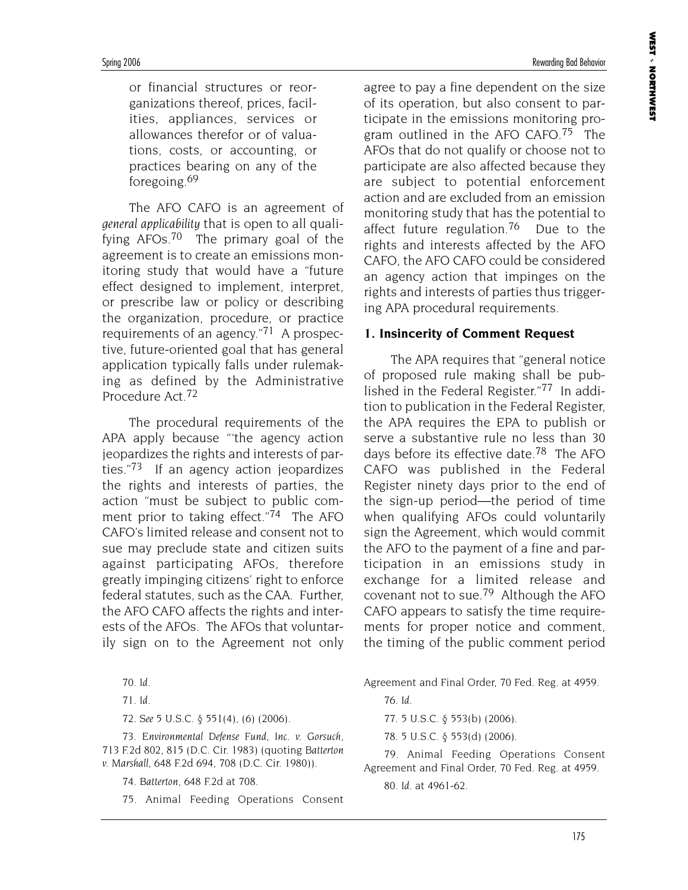or financial structures or reorganizations thereof, prices, facilities, appliances, services or allowances therefor or of valuations, costs, or accounting, or practices bearing on any of the foregoing.69

The AFO CAFO is an agreement of *general applicability* that is open to all qualifying AFOs.70 The primary goal of the agreement is to create an emissions monitoring study that would have a "future effect designed to implement, interpret, or prescribe law or policy or describing the organization, procedure, or practice requirements of an agency."71 A prospective, future-oriented goal that has general application typically falls under rulemaking as defined by the Administrative Procedure Act.72

The procedural requirements of the APA apply because "'the agency action jeopardizes the rights and interests of parties."73 If an agency action jeopardizes the rights and interests of parties, the action "must be subject to public comment prior to taking effect."74 The AFO CAFO's limited release and consent not to sue may preclude state and citizen suits against participating AFOs, therefore greatly impinging citizens' right to enforce federal statutes, such as the CAA. Further, the AFO CAFO affects the rights and interests of the AFOs. The AFOs that voluntarily sign on to the Agreement not only

72. *See* 5 U.S.C. § 551(4), (6) (2006).

73. *Environmental Defense Fund, Inc. v. Gorsuch*, 713 F.2d 802, 815 (D.C. Cir. 1983) (quoting *Batterton v. Marshall*, 648 F.2d 694, 708 (D.C. Cir. 1980)).

74. *Batterton*, 648 F.2d at 708.

75. Animal Feeding Operations Consent

agree to pay a fine dependent on the size of its operation, but also consent to participate in the emissions monitoring program outlined in the AFO CAFO.<sup>75</sup> The AFOs that do not qualify or choose not to participate are also affected because they are subject to potential enforcement action and are excluded from an emission monitoring study that has the potential to affect future regulation.<sup>76</sup> Due to the rights and interests affected by the AFO CAFO, the AFO CAFO could be considered an agency action that impinges on the rights and interests of parties thus triggering APA procedural requirements.

#### **1. Insincerity of Comment Request**

The APA requires that "general notice of proposed rule making shall be published in the Federal Register."77 In addition to publication in the Federal Register, the APA requires the EPA to publish or serve a substantive rule no less than 30 days before its effective date.<sup>78</sup> The AFO CAFO was published in the Federal Register ninety days prior to the end of the sign-up period—the period of time when qualifying AFOs could voluntarily sign the Agreement, which would commit the AFO to the payment of a fine and participation in an emissions study in exchange for a limited release and covenant not to sue.79 Although the AFO CAFO appears to satisfy the time requirements for proper notice and comment, the timing of the public comment period

Agreement and Final Order, 70 Fed. Reg. at 4959.

77. 5 U.S.C. § 553(b) (2006).

78. 5 U.S.C. § 553(d) (2006).

79. Animal Feeding Operations Consent Agreement and Final Order, 70 Fed. Reg. at 4959.

80. *Id.* at 4961-62.

<sup>70.</sup> *Id.*

<sup>71.</sup> *Id.*

<sup>76.</sup> *Id.*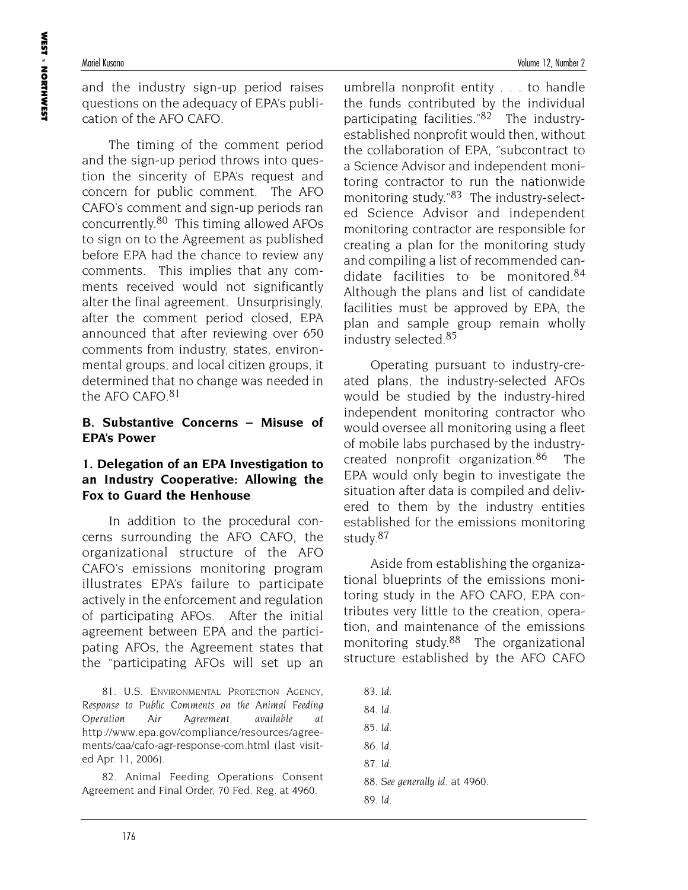and the industry sign-up period raises questions on the adequacy of EPA's publication of the AFO CAFO.

The timing of the comment period and the sign-up period throws into question the sincerity of EPA's request and concern for public comment. The AFO CAFO's comment and sign-up periods ran concurrently.80 This timing allowed AFOs to sign on to the Agreement as published before EPA had the chance to review any comments. This implies that any comments received would not significantly alter the final agreement. Unsurprisingly, after the comment period closed, EPA announced that after reviewing over 650 comments from industry, states, environmental groups, and local citizen groups, it determined that no change was needed in the AFO CAFO.81

## **B. Substantive Concerns – Misuse of EPA's Power**

#### **1. Delegation of an EPA Investigation to an Industry Cooperative: Allowing the Fox to Guard the Henhouse**

In addition to the procedural concerns surrounding the AFO CAFO, the organizational structure of the AFO CAFO's emissions monitoring program illustrates EPA's failure to participate actively in the enforcement and regulation of participating AFOs. After the initial agreement between EPA and the participating AFOs, the Agreement states that the "participating AFOs will set up an

81. U.S. ENVIRONMENTAL PROTECTION AGENCY, *Response to Public Comments on the Animal Feeding Operation Air Agreement*, *available at* http://www.epa.gov/compliance/resources/agreements/caa/cafo-agr-response-com.html (last visited Apr. 11, 2006).

82. Animal Feeding Operations Consent Agreement and Final Order, 70 Fed. Reg. at 4960.

umbrella nonprofit entity . . . to handle the funds contributed by the individual participating facilities."82 The industryestablished nonprofit would then, without the collaboration of EPA, "subcontract to a Science Advisor and independent monitoring contractor to run the nationwide monitoring study."83 The industry-selected Science Advisor and independent monitoring contractor are responsible for creating a plan for the monitoring study and compiling a list of recommended candidate facilities to be monitored.<sup>84</sup> Although the plans and list of candidate facilities must be approved by EPA, the plan and sample group remain wholly industry selected.85

Operating pursuant to industry-created plans, the industry-selected AFOs would be studied by the industry-hired independent monitoring contractor who would oversee all monitoring using a fleet of mobile labs purchased by the industrycreated nonprofit organization.86 The EPA would only begin to investigate the situation after data is compiled and delivered to them by the industry entities established for the emissions monitoring study.87

Aside from establishing the organizational blueprints of the emissions monitoring study in the AFO CAFO, EPA contributes very little to the creation, operation, and maintenance of the emissions monitoring study.88 The organizational structure established by the AFO CAFO

83. *Id*. 84. *Id.* 85. *Id.* 86. *Id*. 87. *Id.* 88. *See generally id.* at 4960. 89. *Id.*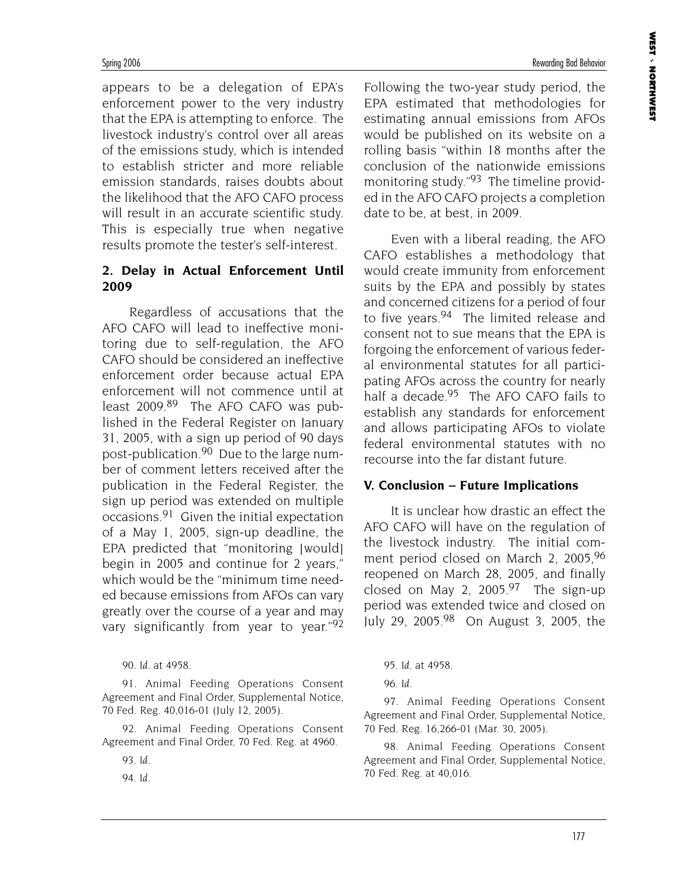appears to be a delegation of EPA's enforcement power to the very industry that the EPA is attempting to enforce. The livestock industry's control over all areas of the emissions study, which is intended to establish stricter and more reliable emission standards, raises doubts about the likelihood that the AFO CAFO process will result in an accurate scientific study. This is especially true when negative results promote the tester's self-interest.

#### **2. Delay in Actual Enforcement Until 2009**

Regardless of accusations that the AFO CAFO will lead to ineffective monitoring due to self-regulation, the AFO CAFO should be considered an ineffective enforcement order because actual EPA enforcement will not commence until at least 2009.89 The AFO CAFO was published in the Federal Register on January 31, 2005, with a sign up period of 90 days post-publication.90 Due to the large number of comment letters received after the publication in the Federal Register, the sign up period was extended on multiple occasions.91 Given the initial expectation of a May 1, 2005, sign-up deadline, the EPA predicted that "monitoring [would] begin in 2005 and continue for 2 years," which would be the "minimum time needed because emissions from AFOs can vary greatly over the course of a year and may vary significantly from year to year."92

90. *Id.* at 4958.

91. Animal Feeding Operations Consent Agreement and Final Order, Supplemental Notice, 70 Fed. Reg. 40,016-01 (July 12, 2005).

92. Animal Feeding Operations Consent Agreement and Final Order, 70 Fed. Reg. at 4960.

93. *Id.*

94. *Id.*

Following the two-year study period, the EPA estimated that methodologies for estimating annual emissions from AFOs would be published on its website on a rolling basis "within 18 months after the conclusion of the nationwide emissions monitoring study."<sup>93</sup> The timeline provided in the AFO CAFO projects a completion date to be, at best, in 2009.

Even with a liberal reading, the AFO CAFO establishes a methodology that would create immunity from enforcement suits by the EPA and possibly by states and concerned citizens for a period of four to five years.<sup>94</sup> The limited release and consent not to sue means that the EPA is forgoing the enforcement of various federal environmental statutes for all participating AFOs across the country for nearly half a decade.<sup>95</sup> The AFO CAFO fails to establish any standards for enforcement and allows participating AFOs to violate federal environmental statutes with no recourse into the far distant future.

#### **V. Conclusion – Future Implications**

It is unclear how drastic an effect the AFO CAFO will have on the regulation of the livestock industry. The initial comment period closed on March 2, 2005,96 reopened on March 28, 2005, and finally closed on May 2,  $2005.<sup>97</sup>$  The sign-up period was extended twice and closed on July 29, 2005.98 On August 3, 2005, the

*95. Id.* at 4958.

96. *Id.*

97. Animal Feeding Operations Consent Agreement and Final Order, Supplemental Notice, 70 Fed. Reg. 16,266-01 (Mar. 30, 2005).

98. Animal Feeding Operations Consent Agreement and Final Order, Supplemental Notice, 70 Fed. Reg. at 40,016.